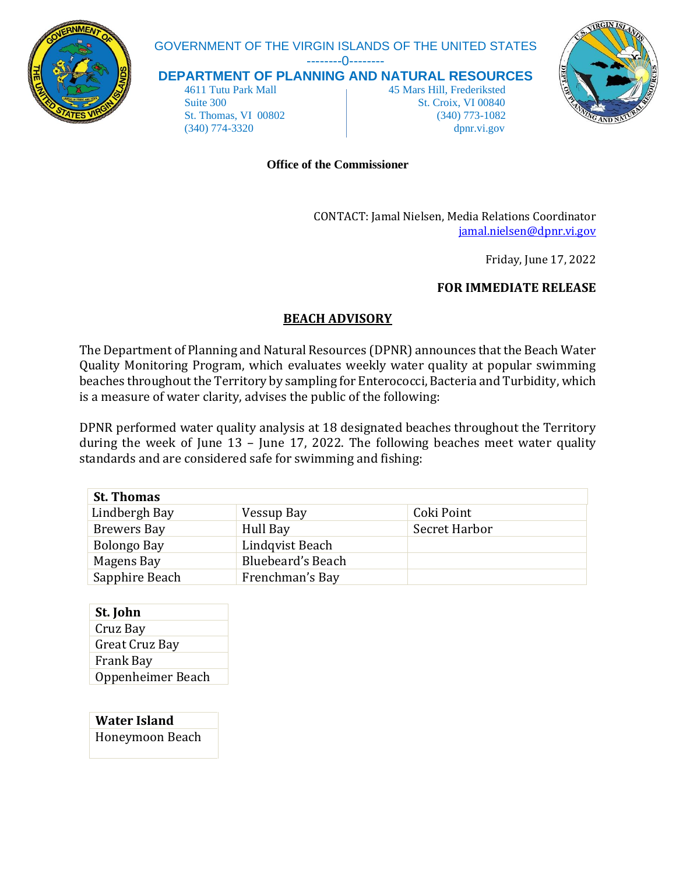

# GOVERNMENT OF THE VIRGIN ISLANDS OF THE UNITED STATES

--------0--------

**DEPARTMENT OF PLANNING AND NATURAL RESOURCES**

 4611 Tutu Park Mall 45 Mars Hill, Frederiksted Suite 300 St. Croix, VI 00840 St. Thomas, VI 00802 (340) 773-1082 (340) 774-3320 dpnr.vi.gov



#### **Office of the Commissioner**

CONTACT: Jamal Nielsen, Media Relations Coordinator [jamal.nielsen@dpnr.vi.gov](mailto:jamal.nielsen@dpnr.vi.gov)

Friday, June 17, 2022

#### **FOR IMMEDIATE RELEASE**

## **BEACH ADVISORY**

The Department of Planning and Natural Resources (DPNR) announces that the Beach Water Quality Monitoring Program, which evaluates weekly water quality at popular swimming beaches throughout the Territory by sampling for Enterococci, Bacteria and Turbidity, which is a measure of water clarity, advises the public of the following:

DPNR performed water quality analysis at 18 designated beaches throughout the Territory during the week of June 13 – June 17, 2022. The following beaches meet water quality standards and are considered safe for swimming and fishing:

| <b>St. Thomas</b>  |                          |               |
|--------------------|--------------------------|---------------|
| Lindbergh Bay      | Vessup Bay               | Coki Point    |
| <b>Brewers Bay</b> | Hull Bay                 | Secret Harbor |
| Bolongo Bay        | Lindqvist Beach          |               |
| Magens Bay         | <b>Bluebeard's Beach</b> |               |
| Sapphire Beach     | Frenchman's Bay          |               |

**St. John** Cruz Bay Great Cruz Bay Frank Bay Oppenheimer Beach

**Water Island** Honeymoon Beach